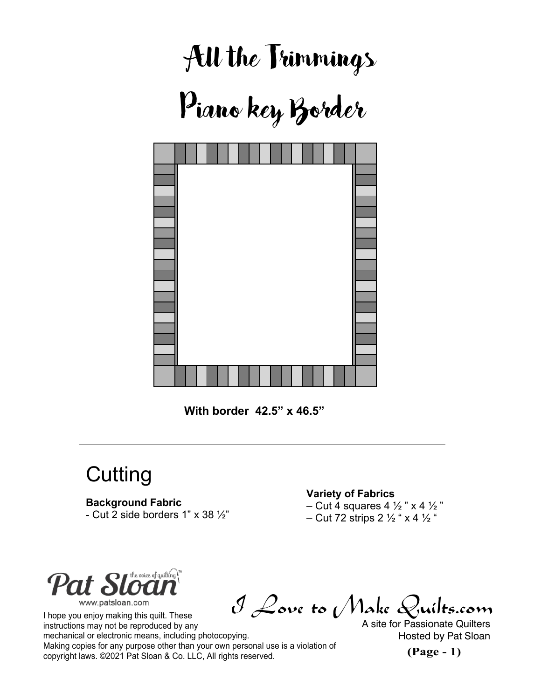



**Cutting** 

## **Background Fabric**

- Cut 2 side borders  $1" \times 38 \frac{1}{2"}$ 

## **Variety of Fabrics**

– Cut 4 squares 4  $\frac{1}{2}$  " x 4  $\frac{1}{2}$  " – Cut 72 strips 2  $\frac{1}{2}$  " x 4  $\frac{1}{2}$  "



I Love to Make Quilts.com I hope you enjoy making this quilt. These instructions may not be reproduced by any mechanical or electronic means, including photocopying. Making copies for any purpose other than your own personal use is a violation of  $\alpha$  copyright laws. ©2021 Pat Sloan & Co. LLC, All rights reserved. **(Page - 1)** 

A site for Passionate Quilters Hosted by Pat Sloan